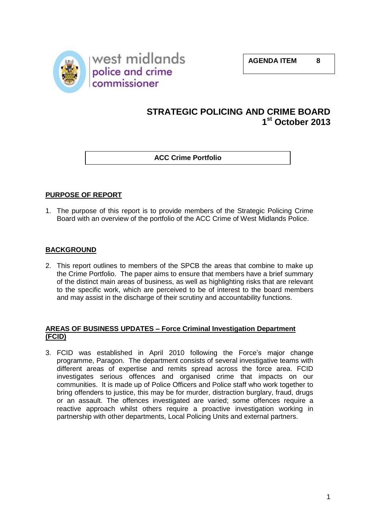

# **STRATEGIC POLICING AND CRIME BOARD 1 st October 2013**

**ACC Crime Portfolio**

# **PURPOSE OF REPORT**

1. The purpose of this report is to provide members of the Strategic Policing Crime Board with an overview of the portfolio of the ACC Crime of West Midlands Police.

# **BACKGROUND**

2. This report outlines to members of the SPCB the areas that combine to make up the Crime Portfolio. The paper aims to ensure that members have a brief summary of the distinct main areas of business, as well as highlighting risks that are relevant to the specific work, which are perceived to be of interest to the board members and may assist in the discharge of their scrutiny and accountability functions.

# **AREAS OF BUSINESS UPDATES – Force Criminal Investigation Department (FCID)**

3. FCID was established in April 2010 following the Force's major change programme, Paragon. The department consists of several investigative teams with different areas of expertise and remits spread across the force area. FCID investigates serious offences and organised crime that impacts on our communities. It is made up of Police Officers and Police staff who work together to bring offenders to justice, this may be for murder, distraction burglary, fraud, drugs or an assault. The offences investigated are varied; some offences require a reactive approach whilst others require a proactive investigation working in partnership with other departments, Local Policing Units and external partners.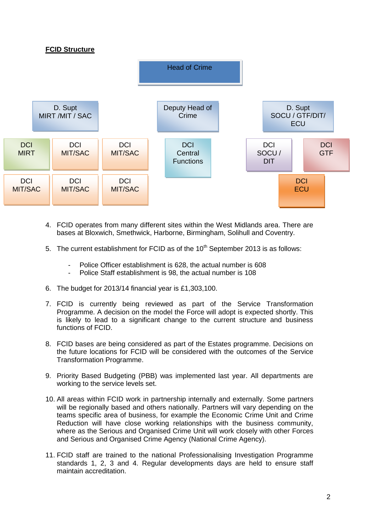# **FCID Structure**



- 4. FCID operates from many different sites within the West Midlands area. There are bases at Bloxwich, Smethwick, Harborne, Birmingham, Solihull and Coventry.
- 5. The current establishment for FCID as of the  $10<sup>th</sup>$  September 2013 is as follows:
	- Police Officer establishment is 628, the actual number is 608
	- Police Staff establishment is 98, the actual number is 108
- 6. The budget for 2013/14 financial year is £1,303,100.
- 7. FCID is currently being reviewed as part of the Service Transformation Programme. A decision on the model the Force will adopt is expected shortly. This is likely to lead to a significant change to the current structure and business functions of FCID.
- 8. FCID bases are being considered as part of the Estates programme. Decisions on the future locations for FCID will be considered with the outcomes of the Service Transformation Programme.
- 9. Priority Based Budgeting (PBB) was implemented last year. All departments are working to the service levels set.
- 10. All areas within FCID work in partnership internally and externally. Some partners will be regionally based and others nationally. Partners will vary depending on the teams specific area of business, for example the Economic Crime Unit and Crime Reduction will have close working relationships with the business community, where as the Serious and Organised Crime Unit will work closely with other Forces and Serious and Organised Crime Agency (National Crime Agency).
- 11. FCID staff are trained to the national Professionalising Investigation Programme standards 1, 2, 3 and 4. Regular developments days are held to ensure staff maintain accreditation.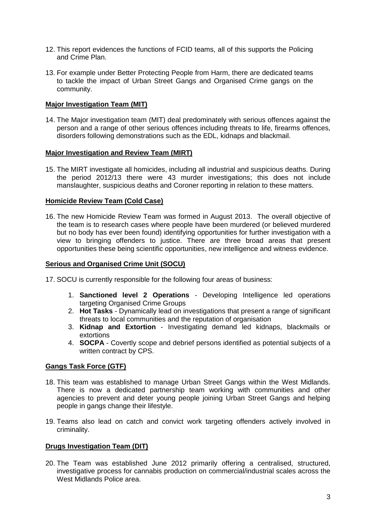- 12. This report evidences the functions of FCID teams, all of this supports the Policing and Crime Plan.
- 13. For example under Better Protecting People from Harm, there are dedicated teams to tackle the impact of Urban Street Gangs and Organised Crime gangs on the community.

# **Major Investigation Team (MIT)**

14. The Major investigation team (MIT) deal predominately with serious offences against the person and a range of other serious offences including threats to life, firearms offences, disorders following demonstrations such as the EDL, kidnaps and blackmail.

#### **Major Investigation and Review Team (MIRT)**

15. The MIRT investigate all homicides, including all industrial and suspicious deaths. During the period 2012/13 there were 43 murder investigations; this does not include manslaughter, suspicious deaths and Coroner reporting in relation to these matters.

#### **Homicide Review Team (Cold Case)**

16. The new Homicide Review Team was formed in August 2013. The overall objective of the team is to research cases where people have been murdered (or believed murdered but no body has ever been found) identifying opportunities for further investigation with a view to bringing offenders to justice. There are three broad areas that present opportunities these being scientific opportunities, new intelligence and witness evidence.

#### **Serious and Organised Crime Unit (SOCU)**

17. SOCU is currently responsible for the following four areas of business:

- 1. **Sanctioned level 2 Operations** Developing Intelligence led operations targeting Organised Crime Groups
- 2. **Hot Tasks** Dynamically lead on investigations that present a range of significant threats to local communities and the reputation of organisation
- 3. **Kidnap and Extortion** Investigating demand led kidnaps, blackmails or extortions
- 4. **SOCPA** Covertly scope and debrief persons identified as potential subjects of a written contract by CPS.

#### **Gangs Task Force (GTF)**

- 18. This team was established to manage Urban Street Gangs within the West Midlands. There is now a dedicated partnership team working with communities and other agencies to prevent and deter young people joining Urban Street Gangs and helping people in gangs change their lifestyle.
- 19. Teams also lead on catch and convict work targeting offenders actively involved in criminality.

#### **Drugs Investigation Team (DIT)**

20. The Team was established June 2012 primarily offering a centralised, structured, investigative process for cannabis production on commercial/industrial scales across the West Midlands Police area.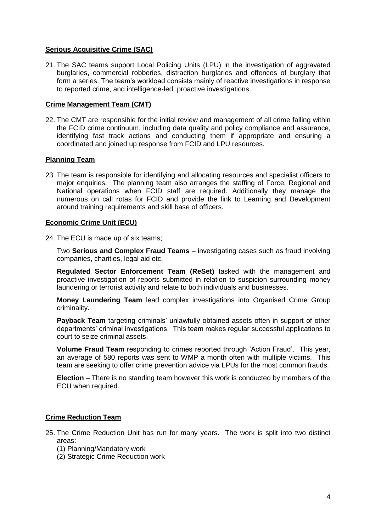# **Serious Acquisitive Crime (SAC)**

21. The SAC teams support Local Policing Units (LPU) in the investigation of aggravated burglaries, commercial robberies, distraction burglaries and offences of burglary that form a series. The team's workload consists mainly of reactive investigations in response to reported crime, and intelligence-led, proactive investigations.

# **Crime Management Team (CMT)**

22. The CMT are responsible for the initial review and management of all crime falling within the FCID crime continuum, including data quality and policy compliance and assurance, identifying fast track actions and conducting them if appropriate and ensuring a coordinated and joined up response from FCID and LPU resources.

#### **Planning Team**

23. The team is responsible for identifying and allocating resources and specialist officers to major enquiries. The planning team also arranges the staffing of Force, Regional and National operations when FCID staff are required. Additionally they manage the numerous on call rotas for FCID and provide the link to Learning and Development around training requirements and skill base of officers.

#### **Economic Crime Unit (ECU)**

24. The ECU is made up of six teams;

Two **Serious and Complex Fraud Teams** – investigating cases such as fraud involving companies, charities, legal aid etc.

**Regulated Sector Enforcement Team (ReSet)** tasked with the management and proactive investigation of reports submitted in relation to suspicion surrounding money laundering or terrorist activity and relate to both individuals and businesses.

**Money Laundering Team** lead complex investigations into Organised Crime Group criminality.

**Payback Team** targeting criminals' unlawfully obtained assets often in support of other departments' criminal investigations. This team makes regular successful applications to court to seize criminal assets.

**Volume Fraud Team** responding to crimes reported through 'Action Fraud'. This year, an average of 580 reports was sent to WMP a month often with multiple victims. This team are seeking to offer crime prevention advice via LPUs for the most common frauds.

**Election** – There is no standing team however this work is conducted by members of the ECU when required.

# **Crime Reduction Team**

- 25. The Crime Reduction Unit has run for many years. The work is split into two distinct areas:
	- (1) Planning/Mandatory work
	- (2) Strategic Crime Reduction work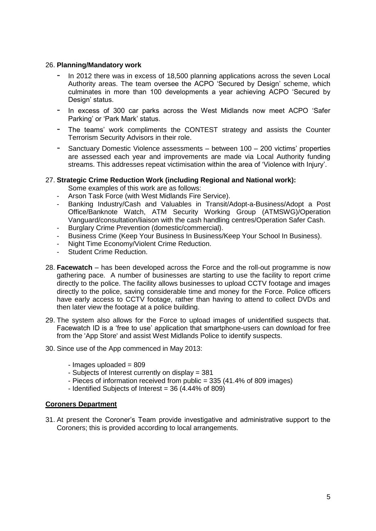#### 26. **Planning/Mandatory work**

- In 2012 there was in excess of 18,500 planning applications across the seven Local Authority areas. The team oversee the ACPO 'Secured by Design' scheme, which culminates in more than 100 developments a year achieving ACPO 'Secured by Design' status.
- In excess of 300 car parks across the West Midlands now meet ACPO 'Safer Parking' or 'Park Mark' status.
- The teams' work compliments the CONTEST strategy and assists the Counter Terrorism Security Advisors in their role.
- Sanctuary Domestic Violence assessments between 100 200 victims' properties are assessed each year and improvements are made via Local Authority funding streams. This addresses repeat victimisation within the area of 'Violence with Injury'.

# 27. **Strategic Crime Reduction Work (including Regional and National work):**

Some examples of this work are as follows:

- Arson Task Force (with West Midlands Fire Service).
- Banking Industry/Cash and Valuables in Transit/Adopt-a-Business/Adopt a Post Office/Banknote Watch, ATM Security Working Group (ATMSWG)/Operation Vanguard/consultation/liaison with the cash handling centres/Operation Safer Cash.
- Burglary Crime Prevention (domestic/commercial).
- Business Crime (Keep Your Business In Business/Keep Your School In Business).
- Night Time Economy/Violent Crime Reduction.
- Student Crime Reduction.
- 28. **Facewatch** has been developed across the Force and the roll-out programme is now gathering pace. A number of businesses are starting to use the facility to report crime directly to the police. The facility allows businesses to upload CCTV footage and images directly to the police, saving considerable time and money for the Force. Police officers have early access to CCTV footage, rather than having to attend to collect DVDs and then later view the footage at a police building.
- 29. The system also allows for the Force to upload images of unidentified suspects that. Facewatch ID is a 'free to use' application that smartphone-users can download for free from the 'App Store' and assist West Midlands Police to identify suspects.
- 30. Since use of the App commenced in May 2013:
	- $-$  Images uploaded  $= 809$
	- Subjects of Interest currently on display = 381
	- Pieces of information received from public = 335 (41.4% of 809 images)
	- Identified Subjects of Interest = 36 (4.44% of 809)

# **Coroners Department**

31. At present the Coroner's Team provide investigative and administrative support to the Coroners; this is provided according to local arrangements.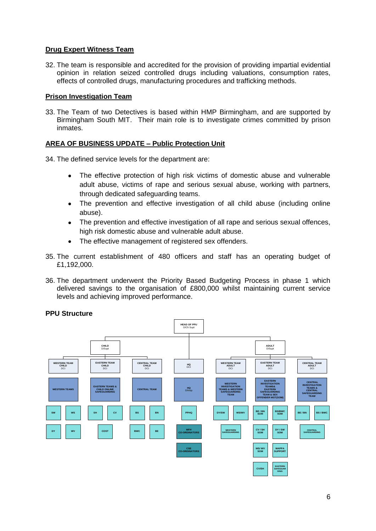# **Drug Expert Witness Team**

32. The team is responsible and accredited for the provision of providing impartial evidential opinion in relation seized controlled drugs including valuations, consumption rates, effects of controlled drugs, manufacturing procedures and trafficking methods.

# **Prison Investigation Team**

33. The Team of two Detectives is based within HMP Birmingham, and are supported by Birmingham South MIT. Their main role is to investigate crimes committed by prison inmates.

# **AREA OF BUSINESS UPDATE – Public Protection Unit**

34. The defined service levels for the department are:

- The effective protection of high risk victims of domestic abuse and vulnerable  $\bullet$ adult abuse, victims of rape and serious sexual abuse, working with partners, through dedicated safeguarding teams.
- The prevention and effective investigation of all child abuse (including online abuse).
- The prevention and effective investigation of all rape and serious sexual offences, high risk domestic abuse and vulnerable adult abuse.
- The effective management of registered sex offenders.
- 35. The current establishment of 480 officers and staff has an operating budget of £1,192,000.
- 36. The department underwent the Priority Based Budgeting Process in phase 1 which delivered savings to the organisation of £800,000 whilst maintaining current service levels and achieving improved performance.



# **PPU Structure**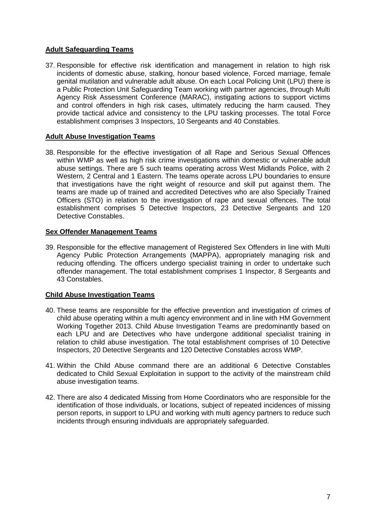# **Adult Safeguarding Teams**

37. Responsible for effective risk identification and management in relation to high risk incidents of domestic abuse, stalking, honour based violence, Forced marriage, female genital mutilation and vulnerable adult abuse. On each Local Policing Unit (LPU) there is a Public Protection Unit Safeguarding Team working with partner agencies, through Multi Agency Risk Assessment Conference (MARAC), instigating actions to support victims and control offenders in high risk cases, ultimately reducing the harm caused. They provide tactical advice and consistency to the LPU tasking processes. The total Force establishment comprises 3 Inspectors, 10 Sergeants and 40 Constables.

# **Adult Abuse Investigation Teams**

38. Responsible for the effective investigation of all Rape and Serious Sexual Offences within WMP as well as high risk crime investigations within domestic or vulnerable adult abuse settings. There are 5 such teams operating across West Midlands Police, with 2 Western, 2 Central and 1 Eastern. The teams operate across LPU boundaries to ensure that investigations have the right weight of resource and skill put against them. The teams are made up of trained and accredited Detectives who are also Specially Trained Officers (STO) in relation to the investigation of rape and sexual offences. The total establishment comprises 5 Detective Inspectors, 23 Detective Sergeants and 120 Detective Constables.

# **Sex Offender Management Teams**

39. Responsible for the effective management of Registered Sex Offenders in line with Multi Agency Public Protection Arrangements (MAPPA), appropriately managing risk and reducing offending. The officers undergo specialist training in order to undertake such offender management. The total establishment comprises 1 Inspector, 8 Sergeants and 43 Constables.

# **Child Abuse Investigation Teams**

- 40. These teams are responsible for the effective prevention and investigation of crimes of child abuse operating within a multi agency environment and in line with HM Government Working Together 2013. Child Abuse Investigation Teams are predominantly based on each LPU and are Detectives who have undergone additional specialist training in relation to child abuse investigation. The total establishment comprises of 10 Detective Inspectors, 20 Detective Sergeants and 120 Detective Constables across WMP.
- 41. Within the Child Abuse command there are an additional 6 Detective Constables dedicated to Child Sexual Exploitation in support to the activity of the mainstream child abuse investigation teams.
- 42. There are also 4 dedicated Missing from Home Coordinators who are responsible for the identification of those individuals, or locations, subject of repeated incidences of missing person reports, in support to LPU and working with multi agency partners to reduce such incidents through ensuring individuals are appropriately safeguarded.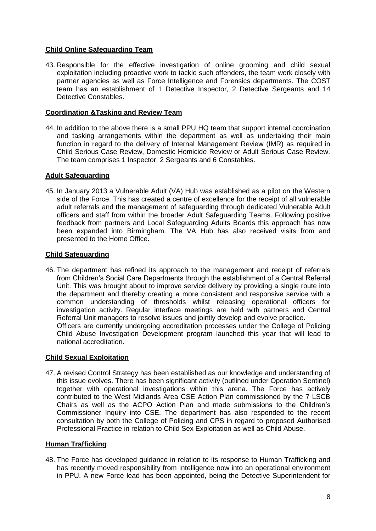# **Child Online Safeguarding Team**

43. Responsible for the effective investigation of online grooming and child sexual exploitation including proactive work to tackle such offenders, the team work closely with partner agencies as well as Force Intelligence and Forensics departments. The COST team has an establishment of 1 Detective Inspector, 2 Detective Sergeants and 14 Detective Constables.

# **Coordination &Tasking and Review Team**

44. In addition to the above there is a small PPU HQ team that support internal coordination and tasking arrangements within the department as well as undertaking their main function in regard to the delivery of Internal Management Review (IMR) as required in Child Serious Case Review, Domestic Homicide Review or Adult Serious Case Review. The team comprises 1 Inspector, 2 Sergeants and 6 Constables.

# **Adult Safeguarding**

45. In January 2013 a Vulnerable Adult (VA) Hub was established as a pilot on the Western side of the Force. This has created a centre of excellence for the receipt of all vulnerable adult referrals and the management of safeguarding through dedicated Vulnerable Adult officers and staff from within the broader Adult Safeguarding Teams. Following positive feedback from partners and Local Safeguarding Adults Boards this approach has now been expanded into Birmingham. The VA Hub has also received visits from and presented to the Home Office.

# **Child Safeguarding**

46. The department has refined its approach to the management and receipt of referrals from Children's Social Care Departments through the establishment of a Central Referral Unit. This was brought about to improve service delivery by providing a single route into the department and thereby creating a more consistent and responsive service with a common understanding of thresholds whilst releasing operational officers for investigation activity. Regular interface meetings are held with partners and Central Referral Unit managers to resolve issues and jointly develop and evolve practice. Officers are currently undergoing accreditation processes under the College of Policing Child Abuse Investigation Development program launched this year that will lead to national accreditation.

# **Child Sexual Exploitation**

47. A revised Control Strategy has been established as our knowledge and understanding of this issue evolves. There has been significant activity (outlined under Operation Sentinel) together with operational investigations within this arena. The Force has actively contributed to the West Midlands Area CSE Action Plan commissioned by the 7 LSCB Chairs as well as the ACPO Action Plan and made submissions to the Children's Commissioner Inquiry into CSE. The department has also responded to the recent consultation by both the College of Policing and CPS in regard to proposed Authorised Professional Practice in relation to Child Sex Exploitation as well as Child Abuse.

# **Human Trafficking**

48. The Force has developed guidance in relation to its response to Human Trafficking and has recently moved responsibility from Intelligence now into an operational environment in PPU. A new Force lead has been appointed, being the Detective Superintendent for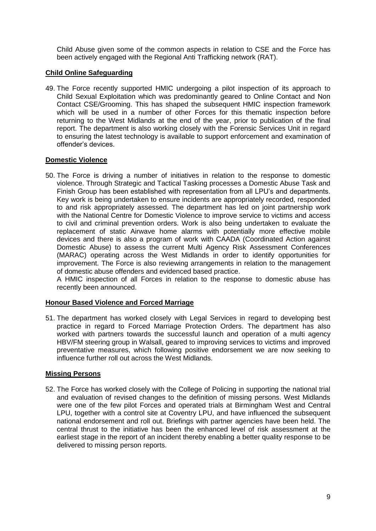Child Abuse given some of the common aspects in relation to CSE and the Force has been actively engaged with the Regional Anti Trafficking network (RAT).

# **Child Online Safeguarding**

49. The Force recently supported HMIC undergoing a pilot inspection of its approach to Child Sexual Exploitation which was predominantly geared to Online Contact and Non Contact CSE/Grooming. This has shaped the subsequent HMIC inspection framework which will be used in a number of other Forces for this thematic inspection before returning to the West Midlands at the end of the year, prior to publication of the final report. The department is also working closely with the Forensic Services Unit in regard to ensuring the latest technology is available to support enforcement and examination of offender's devices.

# **Domestic Violence**

50. The Force is driving a number of initiatives in relation to the response to domestic violence. Through Strategic and Tactical Tasking processes a Domestic Abuse Task and Finish Group has been established with representation from all LPU's and departments. Key work is being undertaken to ensure incidents are appropriately recorded, responded to and risk appropriately assessed. The department has led on joint partnership work with the National Centre for Domestic Violence to improve service to victims and access to civil and criminal prevention orders. Work is also being undertaken to evaluate the replacement of static Airwave home alarms with potentially more effective mobile devices and there is also a program of work with CAADA (Coordinated Action against Domestic Abuse) to assess the current Multi Agency Risk Assessment Conferences (MARAC) operating across the West Midlands in order to identify opportunities for improvement. The Force is also reviewing arrangements in relation to the management of domestic abuse offenders and evidenced based practice.

A HMIC inspection of all Forces in relation to the response to domestic abuse has recently been announced.

# **Honour Based Violence and Forced Marriage**

51. The department has worked closely with Legal Services in regard to developing best practice in regard to Forced Marriage Protection Orders. The department has also worked with partners towards the successful launch and operation of a multi agency HBV/FM steering group in Walsall, geared to improving services to victims and improved preventative measures, which following positive endorsement we are now seeking to influence further roll out across the West Midlands.

# **Missing Persons**

52. The Force has worked closely with the College of Policing in supporting the national trial and evaluation of revised changes to the definition of missing persons. West Midlands were one of the few pilot Forces and operated trials at Birmingham West and Central LPU, together with a control site at Coventry LPU, and have influenced the subsequent national endorsement and roll out. Briefings with partner agencies have been held. The central thrust to the initiative has been the enhanced level of risk assessment at the earliest stage in the report of an incident thereby enabling a better quality response to be delivered to missing person reports.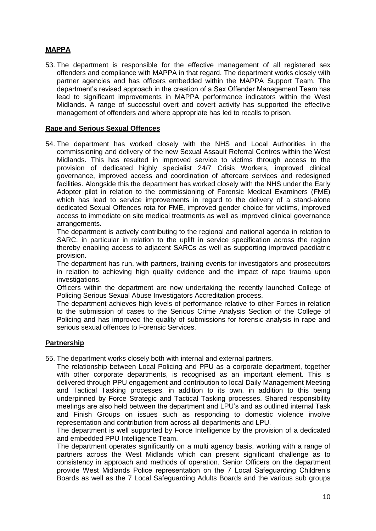# **MAPPA**

53. The department is responsible for the effective management of all registered sex offenders and compliance with MAPPA in that regard. The department works closely with partner agencies and has officers embedded within the MAPPA Support Team. The department's revised approach in the creation of a Sex Offender Management Team has lead to significant improvements in MAPPA performance indicators within the West Midlands. A range of successful overt and covert activity has supported the effective management of offenders and where appropriate has led to recalls to prison.

# **Rape and Serious Sexual Offences**

54. The department has worked closely with the NHS and Local Authorities in the commissioning and delivery of the new Sexual Assault Referral Centres within the West Midlands. This has resulted in improved service to victims through access to the provision of dedicated highly specialist 24/7 Crisis Workers, improved clinical governance, improved access and coordination of aftercare services and redesigned facilities. Alongside this the department has worked closely with the NHS under the Early Adopter pilot in relation to the commissioning of Forensic Medical Examiners (FME) which has lead to service improvements in regard to the delivery of a stand-alone dedicated Sexual Offences rota for FME, improved gender choice for victims, improved access to immediate on site medical treatments as well as improved clinical governance arrangements.

The department is actively contributing to the regional and national agenda in relation to SARC, in particular in relation to the uplift in service specification across the region thereby enabling access to adjacent SARCs as well as supporting improved paediatric provision.

The department has run, with partners, training events for investigators and prosecutors in relation to achieving high quality evidence and the impact of rape trauma upon investigations.

Officers within the department are now undertaking the recently launched College of Policing Serious Sexual Abuse Investigators Accreditation process.

The department achieves high levels of performance relative to other Forces in relation to the submission of cases to the Serious Crime Analysis Section of the College of Policing and has improved the quality of submissions for forensic analysis in rape and serious sexual offences to Forensic Services.

# **Partnership**

55. The department works closely both with internal and external partners.

The relationship between Local Policing and PPU as a corporate department, together with other corporate departments, is recognised as an important element. This is delivered through PPU engagement and contribution to local Daily Management Meeting and Tactical Tasking processes, in addition to its own, in addition to this being underpinned by Force Strategic and Tactical Tasking processes. Shared responsibility meetings are also held between the department and LPU's and as outlined internal Task and Finish Groups on issues such as responding to domestic violence involve representation and contribution from across all departments and LPU.

The department is well supported by Force Intelligence by the provision of a dedicated and embedded PPU Intelligence Team.

The department operates significantly on a multi agency basis, working with a range of partners across the West Midlands which can present significant challenge as to consistency in approach and methods of operation. Senior Officers on the department provide West Midlands Police representation on the 7 Local Safeguarding Children's Boards as well as the 7 Local Safeguarding Adults Boards and the various sub groups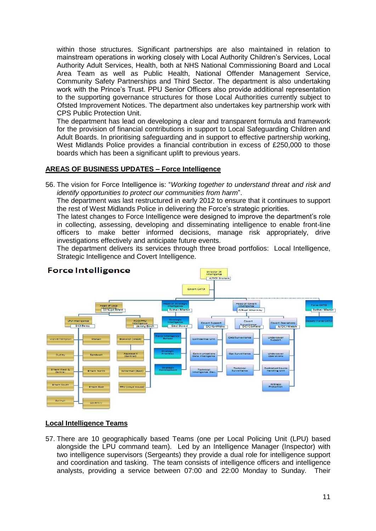within those structures. Significant partnerships are also maintained in relation to mainstream operations in working closely with Local Authority Children's Services, Local Authority Adult Services, Health, both at NHS National Commissioning Board and Local Area Team as well as Public Health, National Offender Management Service, Community Safety Partnerships and Third Sector. The department is also undertaking work with the Prince's Trust. PPU Senior Officers also provide additional representation to the supporting governance structures for those Local Authorities currently subject to Ofsted Improvement Notices. The department also undertakes key partnership work with CPS Public Protection Unit.

The department has lead on developing a clear and transparent formula and framework for the provision of financial contributions in support to Local Safeguarding Children and Adult Boards. In prioritising safeguarding and in support to effective partnership working, West Midlands Police provides a financial contribution in excess of £250,000 to those boards which has been a significant uplift to previous years.

# **AREAS OF BUSINESS UPDATES – Force Intelligence**

56. The vision for Force Intelligence is: "*Working together to understand threat and risk and identify opportunities to protect our communities from harm*".

The department was last restructured in early 2012 to ensure that it continues to support the rest of West Midlands Police in delivering the Force's strategic priorities.

The latest changes to Force Intelligence were designed to improve the department's role in collecting, assessing, developing and disseminating intelligence to enable front-line officers to make better informed decisions, manage risk appropriately, drive investigations effectively and anticipate future events.

The department delivers its services through three broad portfolios: Local Intelligence, Strategic Intelligence and Covert Intelligence.



# **Local Intelligence Teams**

57. There are 10 geographically based Teams (one per Local Policing Unit (LPU) based alongside the LPU command team). Led by an Intelligence Manager (Inspector) with two intelligence supervisors (Sergeants) they provide a dual role for intelligence support and coordination and tasking. The team consists of intelligence officers and intelligence analysts, providing a service between 07:00 and 22:00 Monday to Sunday. Their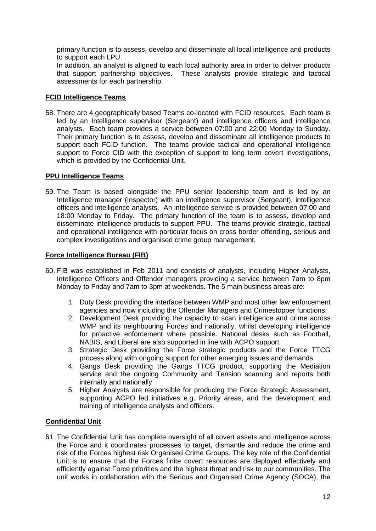primary function is to assess, develop and disseminate all local intelligence and products to support each LPU.

In addition, an analyst is aligned to each local authority area in order to deliver products that support partnership objectives. These analysts provide strategic and tactical assessments for each partnership.

# **FCID Intelligence Teams**

58. There are 4 geographically based Teams co-located with FCID resources. Each team is led by an Intelligence supervisor (Sergeant) and intelligence officers and intelligence analysts. Each team provides a service between 07:00 and 22:00 Monday to Sunday. Their primary function is to assess, develop and disseminate all intelligence products to support each FCID function. The teams provide tactical and operational intelligence support to Force CID with the exception of support to long term covert investigations, which is provided by the Confidential Unit.

# **PPU Intelligence Teams**

59. The Team is based alongside the PPU senior leadership team and is led by an Intelligence manager (Inspector) with an intelligence supervisor (Sergeant), intelligence officers and intelligence analysts. An intelligence service is provided between 07:00 and 18:00 Monday to Friday. The primary function of the team is to assess, develop and disseminate intelligence products to support PPU. The teams provide strategic, tactical and operational intelligence with particular focus on cross border offending, serious and complex investigations and organised crime group management.

# **Force Intelligence Bureau (FIB)**

- 60. FIB was established in Feb 2011 and consists of analysts, including Higher Analysts, Intelligence Officers and Offender managers providing a service between 7am to 8pm Monday to Friday and 7am to 3pm at weekends. The 5 main business areas are:
	- 1. Duty Desk providing the interface between WMP and most other law enforcement agencies and now including the Offender Managers and Crimestopper functions.
	- 2. Development Desk providing the capacity to scan intelligence and crime across WMP and its neighbouring Forces and nationally, whilst developing intelligence for proactive enforcement where possible. National desks such as Football, NABIS, and Liberal are also supported in line with ACPO support
	- 3. Strategic Desk providing the Force strategic products and the Force TTCG process along with ongoing support for other emerging issues and demands
	- 4. Gangs Desk providing the Gangs TTCG product, supporting the Mediation service and the ongoing Community and Tension scanning and reports both internally and nationally
	- 5. Higher Analysts are responsible for producing the Force Strategic Assessment, supporting ACPO led initiatives e.g. Priority areas, and the development and training of Intelligence analysts and officers.

# **Confidential Unit**

61. The Confidential Unit has complete oversight of all covert assets and intelligence across the Force and it coordinates processes to target, dismantle and reduce the crime and risk of the Forces highest risk Organised Crime Groups. The key role of the Confidential Unit is to ensure that the Forces finite covert resources are deployed effectively and efficiently against Force priorities and the highest threat and risk to our communities. The unit works in collaboration with the Serious and Organised Crime Agency (SOCA), the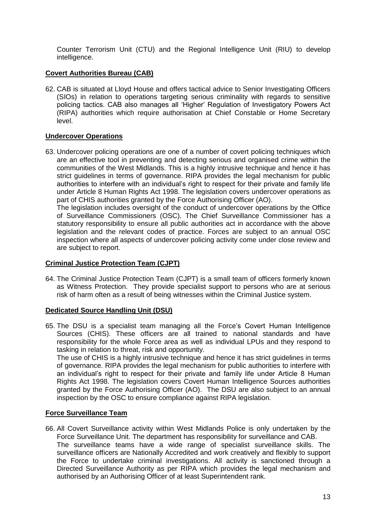Counter Terrorism Unit (CTU) and the Regional Intelligence Unit (RIU) to develop intelligence.

# **Covert Authorities Bureau (CAB)**

62. CAB is situated at Lloyd House and offers tactical advice to Senior Investigating Officers (SIOs) in relation to operations targeting serious criminality with regards to sensitive policing tactics. CAB also manages all 'Higher' Regulation of Investigatory Powers Act (RIPA) authorities which require authorisation at Chief Constable or Home Secretary level.

# **Undercover Operations**

63. Undercover policing operations are one of a number of covert policing techniques which are an effective tool in preventing and detecting serious and organised crime within the communities of the West Midlands. This is a highly intrusive technique and hence it has strict guidelines in terms of governance. RIPA provides the legal mechanism for public authorities to interfere with an individual's right to respect for their private and family life under Article 8 Human Rights Act 1998. The legislation covers undercover operations as part of CHIS authorities granted by the Force Authorising Officer (AO).

The legislation includes oversight of the conduct of undercover operations by the Office of Surveillance Commissioners (OSC). The Chief Surveillance Commissioner has a statutory responsibility to ensure all public authorities act in accordance with the above legislation and the relevant codes of practice. Forces are subject to an annual OSC inspection where all aspects of undercover policing activity come under close review and are subject to report.

# **Criminal Justice Protection Team (CJPT)**

64. The Criminal Justice Protection Team (CJPT) is a small team of officers formerly known as Witness Protection. They provide specialist support to persons who are at serious risk of harm often as a result of being witnesses within the Criminal Justice system.

# **Dedicated Source Handling Unit (DSU)**

65. The DSU is a specialist team managing all the Force's Covert Human Intelligence Sources (CHIS). These officers are all trained to national standards and have responsibility for the whole Force area as well as individual LPUs and they respond to tasking in relation to threat, risk and opportunity.

The use of CHIS is a highly intrusive technique and hence it has strict guidelines in terms of governance. RIPA provides the legal mechanism for public authorities to interfere with an individual's right to respect for their private and family life under Article 8 Human Rights Act 1998. The legislation covers Covert Human Intelligence Sources authorities granted by the Force Authorising Officer (AO). The DSU are also subject to an annual inspection by the OSC to ensure compliance against RIPA legislation.

# **Force Surveillance Team**

66. All Covert Surveillance activity within West Midlands Police is only undertaken by the Force Surveillance Unit. The department has responsibility for surveillance and CAB. The surveillance teams have a wide range of specialist surveillance skills. The surveillance officers are Nationally Accredited and work creatively and flexibly to support the Force to undertake criminal investigations. All activity is sanctioned through a Directed Surveillance Authority as per RIPA which provides the legal mechanism and authorised by an Authorising Officer of at least Superintendent rank.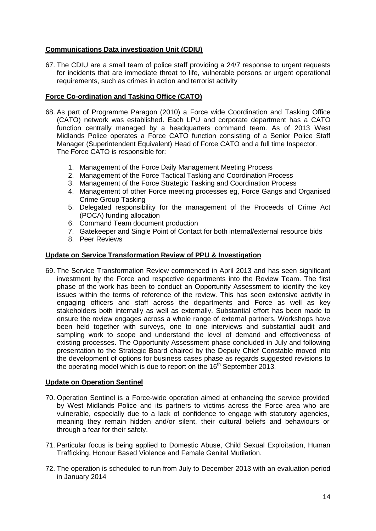# **Communications Data investigation Unit (CDIU)**

67. The CDIU are a small team of police staff providing a 24/7 response to urgent requests for incidents that are immediate threat to life, vulnerable persons or urgent operational requirements, such as crimes in action and terrorist activity

# **Force Co-ordination and Tasking Office (CATO)**

- 68. As part of Programme Paragon (2010) a Force wide Coordination and Tasking Office (CATO) network was established. Each LPU and corporate department has a CATO function centrally managed by a headquarters command team. As of 2013 West Midlands Police operates a Force CATO function consisting of a Senior Police Staff Manager (Superintendent Equivalent) Head of Force CATO and a full time Inspector. The Force CATO is responsible for:
	- 1. Management of the Force Daily Management Meeting Process
	- 2. Management of the Force Tactical Tasking and Coordination Process
	- 3. Management of the Force Strategic Tasking and Coordination Process
	- 4. Management of other Force meeting processes eg, Force Gangs and Organised Crime Group Tasking
	- 5. Delegated responsibility for the management of the Proceeds of Crime Act (POCA) funding allocation
	- 6. Command Team document production
	- 7. Gatekeeper and Single Point of Contact for both internal/external resource bids
	- 8. Peer Reviews

# **Update on Service Transformation Review of PPU & Investigation**

69. The Service Transformation Review commenced in April 2013 and has seen significant investment by the Force and respective departments into the Review Team. The first phase of the work has been to conduct an Opportunity Assessment to identify the key issues within the terms of reference of the review. This has seen extensive activity in engaging officers and staff across the departments and Force as well as key stakeholders both internally as well as externally. Substantial effort has been made to ensure the review engages across a whole range of external partners. Workshops have been held together with surveys, one to one interviews and substantial audit and sampling work to scope and understand the level of demand and effectiveness of existing processes. The Opportunity Assessment phase concluded in July and following presentation to the Strategic Board chaired by the Deputy Chief Constable moved into the development of options for business cases phase as regards suggested revisions to the operating model which is due to report on the  $16<sup>th</sup>$  September 2013.

# **Update on Operation Sentinel**

- 70. Operation Sentinel is a Force-wide operation aimed at enhancing the service provided by West Midlands Police and its partners to victims across the Force area who are vulnerable, especially due to a lack of confidence to engage with statutory agencies, meaning they remain hidden and/or silent, their cultural beliefs and behaviours or through a fear for their safety.
- 71. Particular focus is being applied to Domestic Abuse, Child Sexual Exploitation, Human Trafficking, Honour Based Violence and Female Genital Mutilation.
- 72. The operation is scheduled to run from July to December 2013 with an evaluation period in January 2014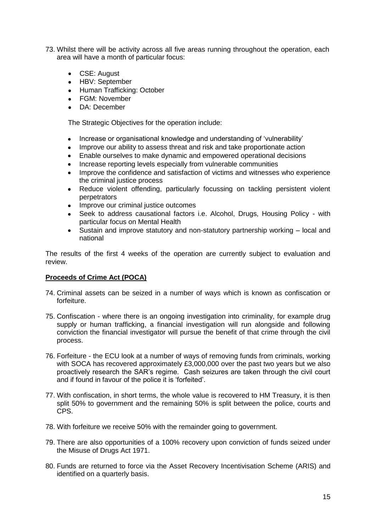- 73. Whilst there will be activity across all five areas running throughout the operation, each area will have a month of particular focus:
	- CSE: August
	- HBV: September
	- Human Trafficking: October
	- FGM: November
	- DA: December  $\bullet$

The Strategic Objectives for the operation include:

- Increase or organisational knowledge and understanding of 'vulnerability'
- Improve our ability to assess threat and risk and take proportionate action
- Enable ourselves to make dynamic and empowered operational decisions  $\bullet$
- Increase reporting levels especially from vulnerable communities  $\bullet$
- Improve the confidence and satisfaction of victims and witnesses who experience  $\bullet$ the criminal justice process
- Reduce violent offending, particularly focussing on tackling persistent violent  $\bullet$ perpetrators
- Improve our criminal justice outcomes
- Seek to address causational factors i.e. Alcohol, Drugs, Housing Policy with  $\bullet$ particular focus on Mental Health
- Sustain and improve statutory and non-statutory partnership working local and national

The results of the first 4 weeks of the operation are currently subject to evaluation and review.

# **Proceeds of Crime Act (POCA)**

- 74. Criminal assets can be seized in a number of ways which is known as confiscation or forfeiture.
- 75. Confiscation where there is an ongoing investigation into criminality, for example drug supply or human trafficking, a financial investigation will run alongside and following conviction the financial investigator will pursue the benefit of that crime through the civil process.
- 76. Forfeiture the ECU look at a number of ways of removing funds from criminals, working with SOCA has recovered approximately £3,000,000 over the past two years but we also proactively research the SAR's regime. Cash seizures are taken through the civil court and if found in favour of the police it is 'forfeited'.
- 77. With confiscation, in short terms, the whole value is recovered to HM Treasury, it is then split 50% to government and the remaining 50% is split between the police, courts and CPS.
- 78. With forfeiture we receive 50% with the remainder going to government.
- 79. There are also opportunities of a 100% recovery upon conviction of funds seized under the Misuse of Drugs Act 1971.
- 80. Funds are returned to force via the Asset Recovery Incentivisation Scheme (ARIS) and identified on a quarterly basis.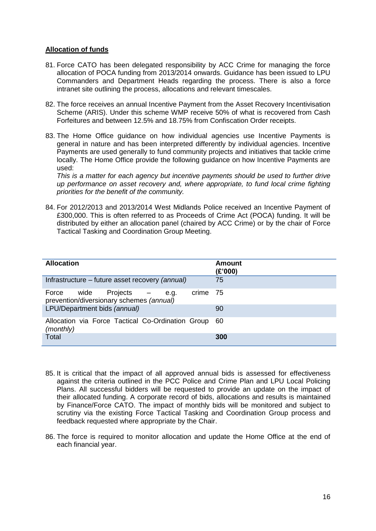# **Allocation of funds**

- 81. Force CATO has been delegated responsibility by ACC Crime for managing the force allocation of POCA funding from 2013/2014 onwards. Guidance has been issued to LPU Commanders and Department Heads regarding the process. There is also a force intranet site outlining the process, allocations and relevant timescales.
- 82. The force receives an annual Incentive Payment from the Asset Recovery Incentivisation Scheme (ARIS). Under this scheme WMP receive 50% of what is recovered from Cash Forfeitures and between 12.5% and 18.75% from Confiscation Order receipts.
- 83. The Home Office guidance on how individual agencies use Incentive Payments is general in nature and has been interpreted differently by individual agencies. Incentive Payments are used generally to fund community projects and initiatives that tackle crime locally. The Home Office provide the following guidance on how Incentive Payments are used:

*This is a matter for each agency but incentive payments should be used to further drive up performance on asset recovery and, where appropriate, to fund local crime fighting priorities for the benefit of the community.* 

84. For 2012/2013 and 2013/2014 West Midlands Police received an Incentive Payment of £300,000. This is often referred to as Proceeds of Crime Act (POCA) funding. It will be distributed by either an allocation panel (chaired by ACC Crime) or by the chair of Force Tactical Tasking and Coordination Group Meeting.

| <b>Allocation</b>                                                                        | <b>Amount</b><br>(E'000) |
|------------------------------------------------------------------------------------------|--------------------------|
| Infrastructure – future asset recovery (annual)                                          | 75                       |
| Projects –<br>Force<br>wide<br>crime<br>e.g.<br>prevention/diversionary schemes (annual) | -75                      |
| LPU/Department bids (annual)                                                             | 90                       |
| Allocation via Force Tactical Co-Ordination Group 60<br>(monthly)                        |                          |
| Total                                                                                    | 300                      |

- 85. It is critical that the impact of all approved annual bids is assessed for effectiveness against the criteria outlined in the PCC Police and Crime Plan and LPU Local Policing Plans. All successful bidders will be requested to provide an update on the impact of their allocated funding. A corporate record of bids, allocations and results is maintained by Finance/Force CATO. The impact of monthly bids will be monitored and subject to scrutiny via the existing Force Tactical Tasking and Coordination Group process and feedback requested where appropriate by the Chair.
- 86. The force is required to monitor allocation and update the Home Office at the end of each financial year.